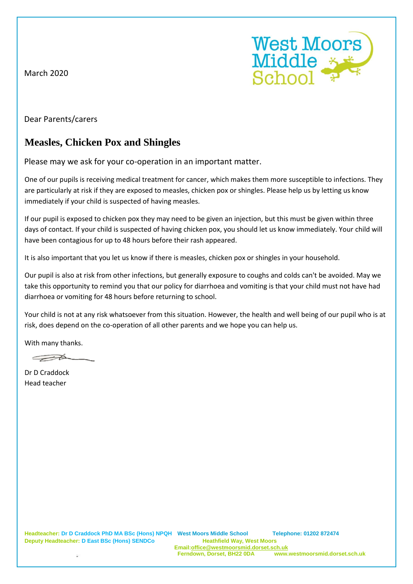March 2020



Dear Parents/carers

## **Measles, Chicken Pox and Shingles**

Please may we ask for your co-operation in an important matter.

One of our pupils is receiving medical treatment for cancer, which makes them more susceptible to infections. They are particularly at risk if they are exposed to measles, chicken pox or shingles. Please help us by letting us know immediately if your child is suspected of having measles.

If our pupil is exposed to chicken pox they may need to be given an injection, but this must be given within three days of contact. If your child is suspected of having chicken pox, you should let us know immediately. Your child will have been contagious for up to 48 hours before their rash appeared.

It is also important that you let us know if there is measles, chicken pox or shingles in your household.

Our pupil is also at risk from other infections, but generally exposure to coughs and colds can't be avoided. May we take this opportunity to remind you that our policy for diarrhoea and vomiting is that your child must not have had diarrhoea or vomiting for 48 hours before returning to school.

Your child is not at any risk whatsoever from this situation. However, the health and well being of our pupil who is at risk, does depend on the co-operation of all other parents and we hope you can help us.

With many thanks.

 $\rightarrow$ 

Dr D Craddock Head teacher

**Deputy Headteacher: D East BSc (Hons) SENDCo Heathfield Way, West Moors**